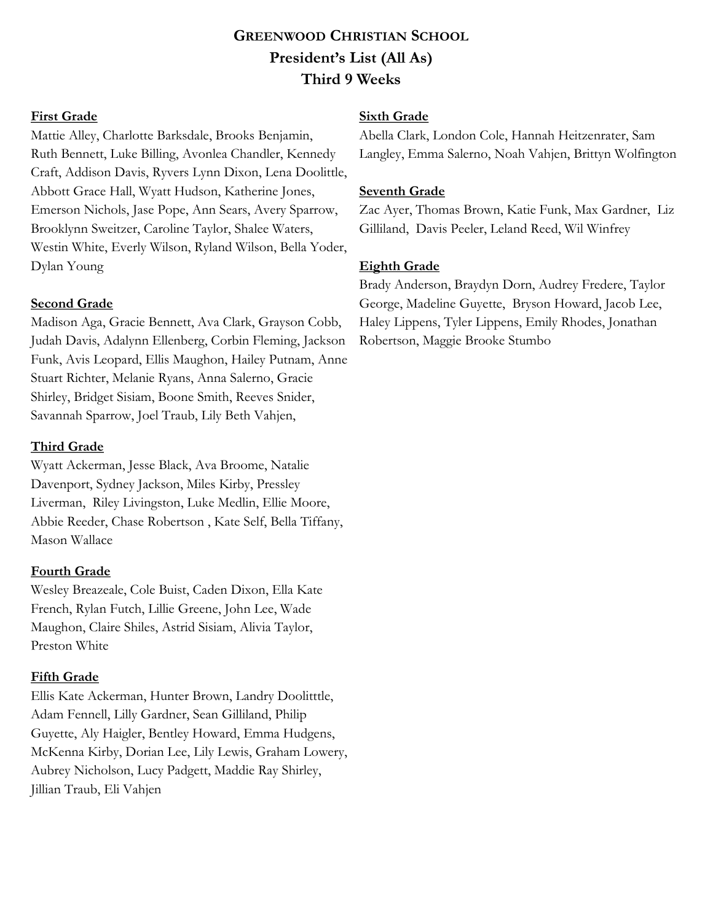# **GREENWOOD CHRISTIAN SCHOOL President's List (All As) Third 9 Weeks**

### **First Grade**

Mattie Alley, Charlotte Barksdale, Brooks Benjamin, Ruth Bennett, Luke Billing, Avonlea Chandler, Kennedy Craft, Addison Davis, Ryvers Lynn Dixon, Lena Doolittle, Abbott Grace Hall, Wyatt Hudson, Katherine Jones, Emerson Nichols, Jase Pope, Ann Sears, Avery Sparrow, Brooklynn Sweitzer, Caroline Taylor, Shalee Waters, Westin White, Everly Wilson, Ryland Wilson, Bella Yoder, Dylan Young

### **Second Grade**

Madison Aga, Gracie Bennett, Ava Clark, Grayson Cobb, Judah Davis, Adalynn Ellenberg, Corbin Fleming, Jackson Funk, Avis Leopard, Ellis Maughon, Hailey Putnam, Anne Stuart Richter, Melanie Ryans, Anna Salerno, Gracie Shirley, Bridget Sisiam, Boone Smith, Reeves Snider, Savannah Sparrow, Joel Traub, Lily Beth Vahjen,

### **Third Grade**

Wyatt Ackerman, Jesse Black, Ava Broome, Natalie Davenport, Sydney Jackson, Miles Kirby, Pressley Liverman, Riley Livingston, Luke Medlin, Ellie Moore, Abbie Reeder, Chase Robertson , Kate Self, Bella Tiffany, Mason Wallace

#### **Fourth Grade**

Wesley Breazeale, Cole Buist, Caden Dixon, Ella Kate French, Rylan Futch, Lillie Greene, John Lee, Wade Maughon, Claire Shiles, Astrid Sisiam, Alivia Taylor, Preston White

# **Fifth Grade**

Ellis Kate Ackerman, Hunter Brown, Landry Doolitttle, Adam Fennell, Lilly Gardner, Sean Gilliland, Philip Guyette, Aly Haigler, Bentley Howard, Emma Hudgens, McKenna Kirby, Dorian Lee, Lily Lewis, Graham Lowery, Aubrey Nicholson, Lucy Padgett, Maddie Ray Shirley, Jillian Traub, Eli Vahjen

### **Sixth Grade**

Abella Clark, London Cole, Hannah Heitzenrater, Sam Langley, Emma Salerno, Noah Vahjen, Brittyn Wolfington

### **Seventh Grade**

Zac Ayer, Thomas Brown, Katie Funk, Max Gardner, Liz Gilliland, Davis Peeler, Leland Reed, Wil Winfrey

### **Eighth Grade**

Brady Anderson, Braydyn Dorn, Audrey Fredere, Taylor George, Madeline Guyette, Bryson Howard, Jacob Lee, Haley Lippens, Tyler Lippens, Emily Rhodes, Jonathan Robertson, Maggie Brooke Stumbo